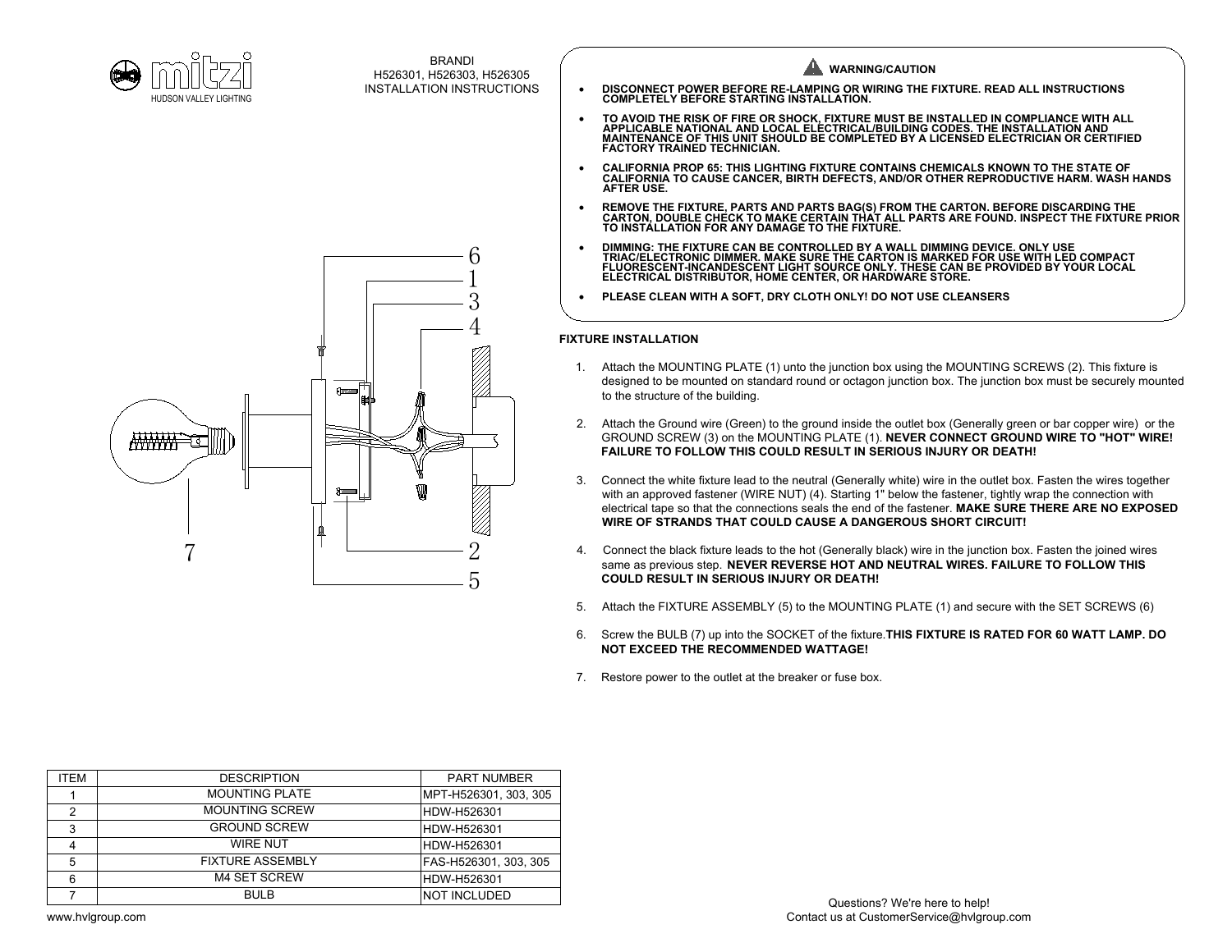



- 
- 
- 
- 
- 

- 
- 
- 
- **COULD RESULT IN SERIOUS INJURY OR DEATH!**<br>5. Attach the FIXTURE ASSEMBLY (5) to the MOUNTING PLATE (1) and secure with the SET SCREWS (6)
- 
- 6. Screw the BULB (7) up into the SOCKET of the fixture.<br>This FIXTURE ASSEMBLY (5) to the MOUNTING PLATE (1) and secure with the SET SCREWS (6)<br>6. Screw the BULB (7) up into the SOCKET of the fixture.<br>**THIS FIXTURE IS RATE**
- 7. Restore power to the outlet at the breaker or fuse box.

| <b>ITEM</b> | <b>DESCRIPTION</b>      | <b>PART NUMBER</b>    |
|-------------|-------------------------|-----------------------|
|             | <b>MOUNTING PLATE</b>   | MPT-H526301, 303, 305 |
| 2           | <b>MOUNTING SCREW</b>   | HDW-H526301           |
| 3           | <b>GROUND SCREW</b>     | HDW-H526301           |
| 4           | <b>WIRE NUT</b>         | HDW-H526301           |
| 5           | <b>FIXTURE ASSEMBLY</b> | FAS-H526301, 303, 305 |
| 6           | <b>M4 SET SCREW</b>     | HDW-H526301           |
|             | <b>BULB</b>             | INOT INCLUDED         |

www.hvlgroup.com